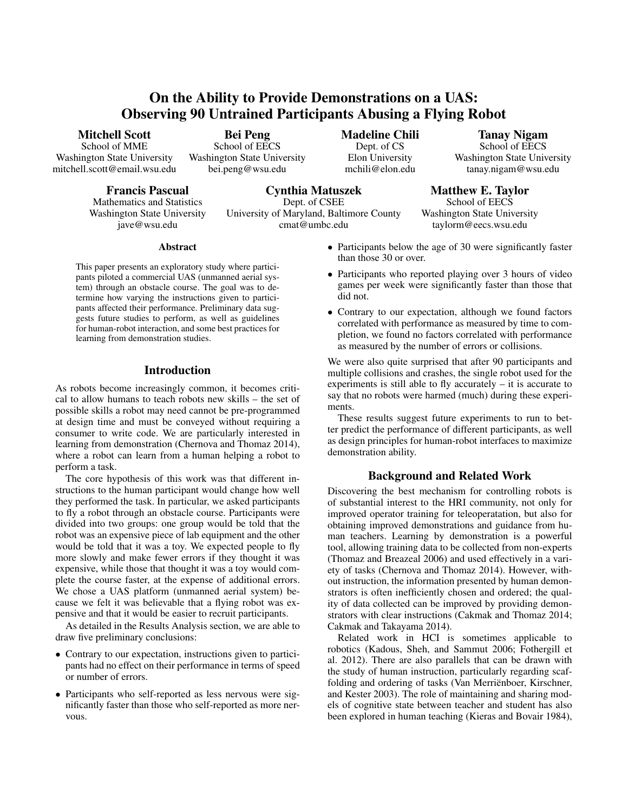# On the Ability to Provide Demonstrations on a UAS: Observing 90 Untrained Participants Abusing a Flying Robot

Mitchell Scott

School of MME Washington State University mitchell.scott@email.wsu.edu

Francis Pascual

Mathematics and Statistics Washington State University jave@wsu.edu

Bei Peng School of EECS Washington State University bei.peng@wsu.edu

Madeline Chili Dept. of CS Elon University mchili@elon.edu

Tanay Nigam School of EECS Washington State University tanay.nigam@wsu.edu

Cynthia Matuszek Dept. of CSEE University of Maryland, Baltimore County cmat@umbc.edu

taylorm@eecs.wsu.edu

Matthew E. Taylor School of EECS Washington State University

Abstract

This paper presents an exploratory study where participants piloted a commercial UAS (unmanned aerial system) through an obstacle course. The goal was to determine how varying the instructions given to participants affected their performance. Preliminary data suggests future studies to perform, as well as guidelines for human-robot interaction, and some best practices for learning from demonstration studies.

# Introduction

As robots become increasingly common, it becomes critical to allow humans to teach robots new skills – the set of possible skills a robot may need cannot be pre-programmed at design time and must be conveyed without requiring a consumer to write code. We are particularly interested in learning from demonstration (Chernova and Thomaz 2014), where a robot can learn from a human helping a robot to perform a task.

The core hypothesis of this work was that different instructions to the human participant would change how well they performed the task. In particular, we asked participants to fly a robot through an obstacle course. Participants were divided into two groups: one group would be told that the robot was an expensive piece of lab equipment and the other would be told that it was a toy. We expected people to fly more slowly and make fewer errors if they thought it was expensive, while those that thought it was a toy would complete the course faster, at the expense of additional errors. We chose a UAS platform (unmanned aerial system) because we felt it was believable that a flying robot was expensive and that it would be easier to recruit participants.

As detailed in the Results Analysis section, we are able to draw five preliminary conclusions:

- Contrary to our expectation, instructions given to participants had no effect on their performance in terms of speed or number of errors.
- Participants who self-reported as less nervous were significantly faster than those who self-reported as more nervous.
- Participants below the age of 30 were significantly faster than those 30 or over.
- Participants who reported playing over 3 hours of video games per week were significantly faster than those that did not.
- Contrary to our expectation, although we found factors correlated with performance as measured by time to completion, we found no factors correlated with performance as measured by the number of errors or collisions.

We were also quite surprised that after 90 participants and multiple collisions and crashes, the single robot used for the experiments is still able to fly accurately – it is accurate to say that no robots were harmed (much) during these experiments.

These results suggest future experiments to run to better predict the performance of different participants, as well as design principles for human-robot interfaces to maximize demonstration ability.

# Background and Related Work

Discovering the best mechanism for controlling robots is of substantial interest to the HRI community, not only for improved operator training for teleoperatation, but also for obtaining improved demonstrations and guidance from human teachers. Learning by demonstration is a powerful tool, allowing training data to be collected from non-experts (Thomaz and Breazeal 2006) and used effectively in a variety of tasks (Chernova and Thomaz 2014). However, without instruction, the information presented by human demonstrators is often inefficiently chosen and ordered; the quality of data collected can be improved by providing demonstrators with clear instructions (Cakmak and Thomaz 2014; Cakmak and Takayama 2014).

Related work in HCI is sometimes applicable to robotics (Kadous, Sheh, and Sammut 2006; Fothergill et al. 2012). There are also parallels that can be drawn with the study of human instruction, particularly regarding scaffolding and ordering of tasks (Van Merriënboer, Kirschner, and Kester 2003). The role of maintaining and sharing models of cognitive state between teacher and student has also been explored in human teaching (Kieras and Bovair 1984),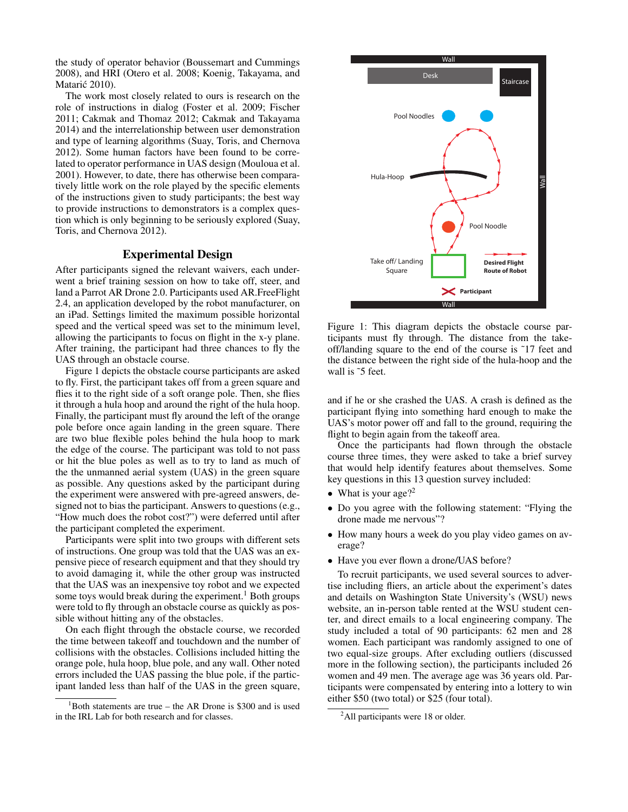the study of operator behavior (Boussemart and Cummings 2008), and HRI (Otero et al. 2008; Koenig, Takayama, and Matarić 2010).

The work most closely related to ours is research on the role of instructions in dialog (Foster et al. 2009; Fischer 2011; Cakmak and Thomaz 2012; Cakmak and Takayama 2014) and the interrelationship between user demonstration and type of learning algorithms (Suay, Toris, and Chernova 2012). Some human factors have been found to be correlated to operator performance in UAS design (Mouloua et al. 2001). However, to date, there has otherwise been comparatively little work on the role played by the specific elements of the instructions given to study participants; the best way to provide instructions to demonstrators is a complex question which is only beginning to be seriously explored (Suay, Toris, and Chernova 2012).

## Experimental Design

After participants signed the relevant waivers, each underwent a brief training session on how to take off, steer, and land a Parrot AR Drone 2.0. Participants used AR.FreeFlight 2.4, an application developed by the robot manufacturer, on an iPad. Settings limited the maximum possible horizontal speed and the vertical speed was set to the minimum level, allowing the participants to focus on flight in the x-y plane. After training, the participant had three chances to fly the UAS through an obstacle course.

Figure 1 depicts the obstacle course participants are asked to fly. First, the participant takes off from a green square and flies it to the right side of a soft orange pole. Then, she flies it through a hula hoop and around the right of the hula hoop. Finally, the participant must fly around the left of the orange pole before once again landing in the green square. There are two blue flexible poles behind the hula hoop to mark the edge of the course. The participant was told to not pass or hit the blue poles as well as to try to land as much of the the unmanned aerial system (UAS) in the green square as possible. Any questions asked by the participant during the experiment were answered with pre-agreed answers, designed not to bias the participant. Answers to questions (e.g., "How much does the robot cost?") were deferred until after the participant completed the experiment.

Participants were split into two groups with different sets of instructions. One group was told that the UAS was an expensive piece of research equipment and that they should try to avoid damaging it, while the other group was instructed that the UAS was an inexpensive toy robot and we expected some toys would break during the experiment.<sup>1</sup> Both groups were told to fly through an obstacle course as quickly as possible without hitting any of the obstacles.

On each flight through the obstacle course, we recorded the time between takeoff and touchdown and the number of collisions with the obstacles. Collisions included hitting the orange pole, hula hoop, blue pole, and any wall. Other noted errors included the UAS passing the blue pole, if the participant landed less than half of the UAS in the green square,



Figure 1: This diagram depicts the obstacle course participants must fly through. The distance from the takeoff/landing square to the end of the course is ˜17 feet and the distance between the right side of the hula-hoop and the wall is ~5 feet.

and if he or she crashed the UAS. A crash is defined as the participant flying into something hard enough to make the UAS's motor power off and fall to the ground, requiring the flight to begin again from the takeoff area.

Once the participants had flown through the obstacle course three times, they were asked to take a brief survey that would help identify features about themselves. Some key questions in this 13 question survey included:

- What is your age?<sup>2</sup>
- Do you agree with the following statement: "Flying the drone made me nervous"?
- How many hours a week do you play video games on average?
- Have you ever flown a drone/UAS before?

To recruit participants, we used several sources to advertise including fliers, an article about the experiment's dates and details on Washington State University's (WSU) news website, an in-person table rented at the WSU student center, and direct emails to a local engineering company. The study included a total of 90 participants: 62 men and 28 women. Each participant was randomly assigned to one of two equal-size groups. After excluding outliers (discussed more in the following section), the participants included 26 women and 49 men. The average age was 36 years old. Participants were compensated by entering into a lottery to win either \$50 (two total) or \$25 (four total).

 $1$ Both statements are true – the AR Drone is \$300 and is used in the IRL Lab for both research and for classes.

<sup>&</sup>lt;sup>2</sup>All participants were 18 or older.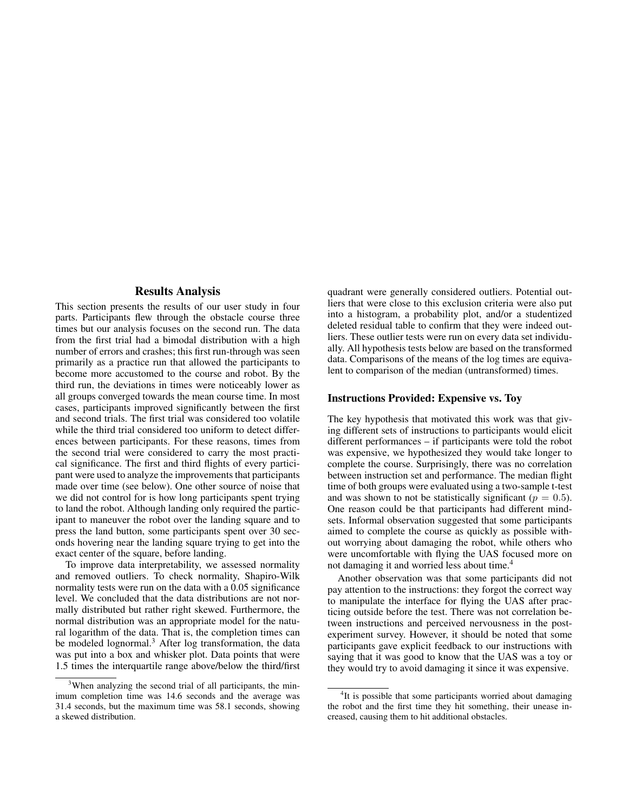#### Results Analysis

This section presents the results of our user study in four parts. Participants flew through the obstacle course three times but our analysis focuses on the second run. The data from the first trial had a bimodal distribution with a high number of errors and crashes; this first run-through was seen primarily as a practice run that allowed the participants to become more accustomed to the course and robot. By the third run, the deviations in times were noticeably lower as all groups converged towards the mean course time. In most cases, participants improved significantly between the first and second trials. The first trial was considered too volatile while the third trial considered too uniform to detect differences between participants. For these reasons, times from the second trial were considered to carry the most practical significance. The first and third flights of every participant were used to analyze the improvements that participants made over time (see below). One other source of noise that we did not control for is how long participants spent trying to land the robot. Although landing only required the participant to maneuver the robot over the landing square and to press the land button, some participants spent over 30 seconds hovering near the landing square trying to get into the exact center of the square, before landing.

To improve data interpretability, we assessed normality and removed outliers. To check normality, Shapiro-Wilk normality tests were run on the data with a 0.05 significance level. We concluded that the data distributions are not normally distributed but rather right skewed. Furthermore, the normal distribution was an appropriate model for the natural logarithm of the data. That is, the completion times can be modeled lognormal.<sup>3</sup> After log transformation, the data was put into a box and whisker plot. Data points that were 1.5 times the interquartile range above/below the third/first

quadrant were generally considered outliers. Potential outliers that were close to this exclusion criteria were also put into a histogram, a probability plot, and/or a studentized deleted residual table to confirm that they were indeed outliers. These outlier tests were run on every data set individually. All hypothesis tests below are based on the transformed data. Comparisons of the means of the log times are equivalent to comparison of the median (untransformed) times.

#### Instructions Provided: Expensive vs. Toy

The key hypothesis that motivated this work was that giving different sets of instructions to participants would elicit different performances – if participants were told the robot was expensive, we hypothesized they would take longer to complete the course. Surprisingly, there was no correlation between instruction set and performance. The median flight time of both groups were evaluated using a two-sample t-test and was shown to not be statistically significant ( $p = 0.5$ ). One reason could be that participants had different mindsets. Informal observation suggested that some participants aimed to complete the course as quickly as possible without worrying about damaging the robot, while others who were uncomfortable with flying the UAS focused more on not damaging it and worried less about time.<sup>4</sup>

Another observation was that some participants did not pay attention to the instructions: they forgot the correct way to manipulate the interface for flying the UAS after practicing outside before the test. There was not correlation between instructions and perceived nervousness in the postexperiment survey. However, it should be noted that some participants gave explicit feedback to our instructions with saying that it was good to know that the UAS was a toy or they would try to avoid damaging it since it was expensive.

<sup>&</sup>lt;sup>3</sup>When analyzing the second trial of all participants, the minimum completion time was 14.6 seconds and the average was 31.4 seconds, but the maximum time was 58.1 seconds, showing a skewed distribution.

<sup>&</sup>lt;sup>4</sup>It is possible that some participants worried about damaging the robot and the first time they hit something, their unease increased, causing them to hit additional obstacles.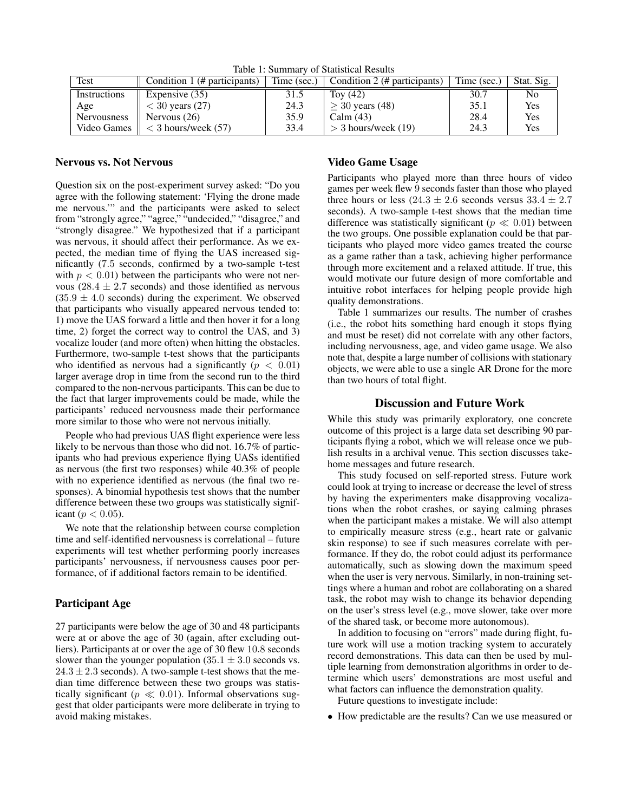| Test               | Condition 1 (# participants)         |      | Time (sec.) $\vert$ Condition 2 (# participants) | Time (sec.) | Stat. Sig. |
|--------------------|--------------------------------------|------|--------------------------------------------------|-------------|------------|
| Instructions       | Expensive (35)                       | 31.5 | Tov $(42)$                                       | 30.7        | No         |
| Age                | $<$ 30 years (27)                    | 24.3 | $>$ 30 years (48)                                | 35.1        | Yes        |
| <b>Nervousness</b> | Nervous $(26)$                       | 35.9 | Calm $(43)$                                      | 28.4        | <b>Yes</b> |
|                    | Video Games $\ $ < 3 hours/week (57) | 33.4 | $>$ 3 hours/week (19)                            | 24.3        | Yes        |

Table 1: Summary of Statistical Results

## Nervous vs. Not Nervous

Question six on the post-experiment survey asked: "Do you agree with the following statement: 'Flying the drone made me nervous.'" and the participants were asked to select from "strongly agree," "agree," "undecided," "disagree," and "strongly disagree." We hypothesized that if a participant was nervous, it should affect their performance. As we expected, the median time of flying the UAS increased significantly (7.5 seconds, confirmed by a two-sample t-test with  $p < 0.01$ ) between the participants who were not nervous ( $28.4 \pm 2.7$  seconds) and those identified as nervous  $(35.9 \pm 4.0 \text{ seconds})$  during the experiment. We observed that participants who visually appeared nervous tended to: 1) move the UAS forward a little and then hover it for a long time, 2) forget the correct way to control the UAS, and 3) vocalize louder (and more often) when hitting the obstacles. Furthermore, two-sample t-test shows that the participants who identified as nervous had a significantly ( $p < 0.01$ ) larger average drop in time from the second run to the third compared to the non-nervous participants. This can be due to the fact that larger improvements could be made, while the participants' reduced nervousness made their performance more similar to those who were not nervous initially.

People who had previous UAS flight experience were less likely to be nervous than those who did not. 16.7% of participants who had previous experience flying UASs identified as nervous (the first two responses) while 40.3% of people with no experience identified as nervous (the final two responses). A binomial hypothesis test shows that the number difference between these two groups was statistically significant ( $p < 0.05$ ).

We note that the relationship between course completion time and self-identified nervousness is correlational – future experiments will test whether performing poorly increases participants' nervousness, if nervousness causes poor performance, of if additional factors remain to be identified.

#### Participant Age

27 participants were below the age of 30 and 48 participants were at or above the age of 30 (again, after excluding outliers). Participants at or over the age of 30 flew 10.8 seconds slower than the younger population  $(35.1 \pm 3.0 \text{ seconds} \text{ vs.})$  $24.3 \pm 2.3$  seconds). A two-sample t-test shows that the median time difference between these two groups was statistically significant ( $p \ll 0.01$ ). Informal observations suggest that older participants were more deliberate in trying to avoid making mistakes.

### Video Game Usage

Participants who played more than three hours of video games per week flew 9 seconds faster than those who played three hours or less  $(24.3 \pm 2.6$  seconds versus  $33.4 \pm 2.7$ seconds). A two-sample t-test shows that the median time difference was statistically significant ( $p \ll 0.01$ ) between the two groups. One possible explanation could be that participants who played more video games treated the course as a game rather than a task, achieving higher performance through more excitement and a relaxed attitude. If true, this would motivate our future design of more comfortable and intuitive robot interfaces for helping people provide high quality demonstrations.

Table 1 summarizes our results. The number of crashes (i.e., the robot hits something hard enough it stops flying and must be reset) did not correlate with any other factors, including nervousness, age, and video game usage. We also note that, despite a large number of collisions with stationary objects, we were able to use a single AR Drone for the more than two hours of total flight.

#### Discussion and Future Work

While this study was primarily exploratory, one concrete outcome of this project is a large data set describing 90 participants flying a robot, which we will release once we publish results in a archival venue. This section discusses takehome messages and future research.

This study focused on self-reported stress. Future work could look at trying to increase or decrease the level of stress by having the experimenters make disapproving vocalizations when the robot crashes, or saying calming phrases when the participant makes a mistake. We will also attempt to empirically measure stress (e.g., heart rate or galvanic skin response) to see if such measures correlate with performance. If they do, the robot could adjust its performance automatically, such as slowing down the maximum speed when the user is very nervous. Similarly, in non-training settings where a human and robot are collaborating on a shared task, the robot may wish to change its behavior depending on the user's stress level (e.g., move slower, take over more of the shared task, or become more autonomous).

In addition to focusing on "errors" made during flight, future work will use a motion tracking system to accurately record demonstrations. This data can then be used by multiple learning from demonstration algorithms in order to determine which users' demonstrations are most useful and what factors can influence the demonstration quality.

Future questions to investigate include:

• How predictable are the results? Can we use measured or